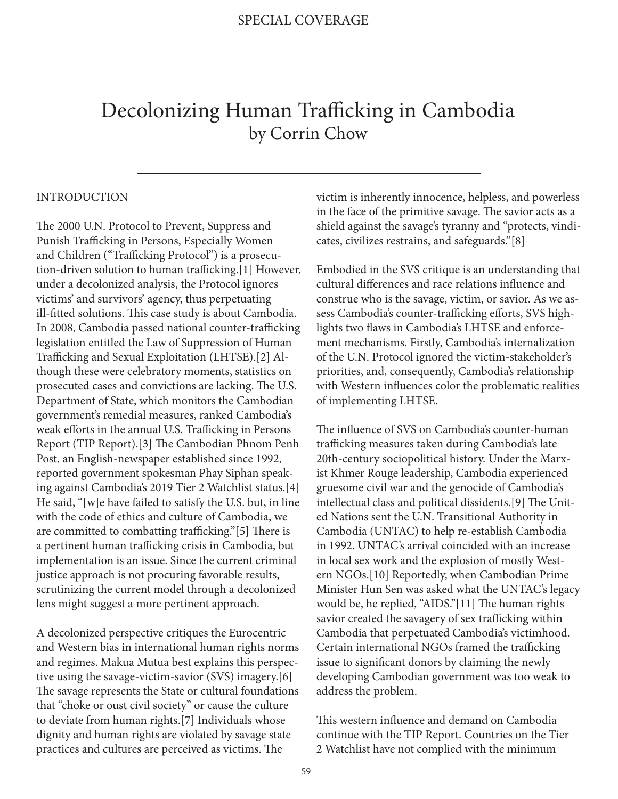# Decolonizing Human Trafficking in Cambodia by Corrin Chow

#### INTRODUCTION

The 2000 U.N. Protocol to Prevent, Suppress and Punish Trafficking in Persons, Especially Women and Children ("Trafficking Protocol") is a prosecution-driven solution to human trafficking.[1] However, under a decolonized analysis, the Protocol ignores victims' and survivors' agency, thus perpetuating ill-fitted solutions. This case study is about Cambodia. In 2008, Cambodia passed national counter-trafficking legislation entitled the Law of Suppression of Human Trafficking and Sexual Exploitation (LHTSE).[2] Although these were celebratory moments, statistics on prosecuted cases and convictions are lacking. The U.S. Department of State, which monitors the Cambodian government's remedial measures, ranked Cambodia's weak efforts in the annual U.S. Trafficking in Persons Report (TIP Report).[3] The Cambodian Phnom Penh Post, an English-newspaper established since 1992, reported government spokesman Phay Siphan speaking against Cambodia's 2019 Tier 2 Watchlist status.[4] He said, "[w]e have failed to satisfy the U.S. but, in line with the code of ethics and culture of Cambodia, we are committed to combatting trafficking."[5] There is a pertinent human trafficking crisis in Cambodia, but implementation is an issue. Since the current criminal justice approach is not procuring favorable results, scrutinizing the current model through a decolonized lens might suggest a more pertinent approach.

A decolonized perspective critiques the Eurocentric and Western bias in international human rights norms and regimes. Makua Mutua best explains this perspective using the savage-victim-savior (SVS) imagery.[6] The savage represents the State or cultural foundations that "choke or oust civil society" or cause the culture to deviate from human rights.[7] Individuals whose dignity and human rights are violated by savage state practices and cultures are perceived as victims. The

victim is inherently innocence, helpless, and powerless in the face of the primitive savage. The savior acts as a shield against the savage's tyranny and "protects, vindicates, civilizes restrains, and safeguards."[8]

Embodied in the SVS critique is an understanding that cultural differences and race relations influence and construe who is the savage, victim, or savior. As we assess Cambodia's counter-trafficking efforts, SVS highlights two flaws in Cambodia's LHTSE and enforcement mechanisms. Firstly, Cambodia's internalization of the U.N. Protocol ignored the victim-stakeholder's priorities, and, consequently, Cambodia's relationship with Western influences color the problematic realities of implementing LHTSE.

The influence of SVS on Cambodia's counter-human trafficking measures taken during Cambodia's late 20th-century sociopolitical history. Under the Marxist Khmer Rouge leadership, Cambodia experienced gruesome civil war and the genocide of Cambodia's intellectual class and political dissidents.[9] The United Nations sent the U.N. Transitional Authority in Cambodia (UNTAC) to help re-establish Cambodia in 1992. UNTAC's arrival coincided with an increase in local sex work and the explosion of mostly Western NGOs.[10] Reportedly, when Cambodian Prime Minister Hun Sen was asked what the UNTAC's legacy would be, he replied, "AIDS."[11] The human rights savior created the savagery of sex trafficking within Cambodia that perpetuated Cambodia's victimhood. Certain international NGOs framed the trafficking issue to significant donors by claiming the newly developing Cambodian government was too weak to address the problem.

This western influence and demand on Cambodia continue with the TIP Report. Countries on the Tier 2 Watchlist have not complied with the minimum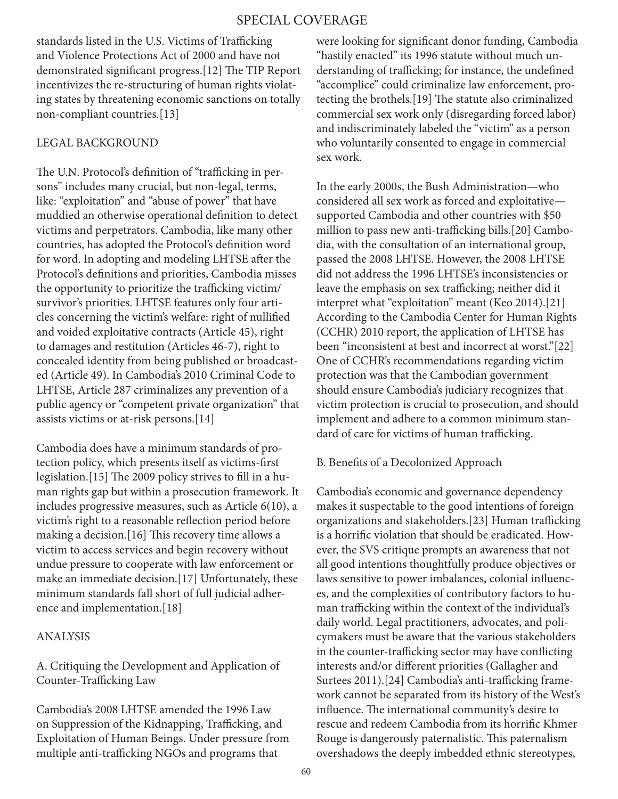standards listed in the U.S. Victims of Trafficking and Violence Protections Act of 2000 and have not demonstrated significant progress.[12] The TIP Report incentivizes the re-structuring of human rights violating states by threatening economic sanctions on totally non-compliant countries.[13]

## LEGAL BACKGROUND

The U.N. Protocol's definition of "trafficking in persons" includes many crucial, but non-legal, terms, like: "exploitation" and "abuse of power" that have muddied an otherwise operational definition to detect victims and perpetrators. Cambodia, like many other countries, has adopted the Protocol's definition word for word. In adopting and modeling LHTSE after the Protocol's definitions and priorities, Cambodia misses the opportunity to prioritize the trafficking victim/ survivor's priorities. LHTSE features only four articles concerning the victim's welfare: right of nullified and voided exploitative contracts (Article 45), right to damages and restitution (Articles 46-7), right to concealed identity from being published or broadcasted (Article 49). In Cambodia's 2010 Criminal Code to LHTSE, Article 287 criminalizes any prevention of a public agency or "competent private organization" that assists victims or at-risk persons.[14]

Cambodia does have a minimum standards of protection policy, which presents itself as victims-first legislation.[15] The 2009 policy strives to fill in a human rights gap but within a prosecution framework. It includes progressive measures, such as Article 6(10), a victim's right to a reasonable reflection period before making a decision.[16] This recovery time allows a victim to access services and begin recovery without undue pressure to cooperate with law enforcement or make an immediate decision.[17] Unfortunately, these minimum standards fall short of full judicial adherence and implementation.[18]

### ANALYSIS

A. Critiquing the Development and Application of Counter-Trafficking Law

Cambodia's 2008 LHTSE amended the 1996 Law on Suppression of the Kidnapping, Trafficking, and Exploitation of Human Beings. Under pressure from multiple anti-trafficking NGOs and programs that

were looking for significant donor funding, Cambodia "hastily enacted" its 1996 statute without much understanding of trafficking; for instance, the undefined "accomplice" could criminalize law enforcement, protecting the brothels.[19] The statute also criminalized commercial sex work only (disregarding forced labor) and indiscriminately labeled the "victim" as a person who voluntarily consented to engage in commercial sex work.

In the early 2000s, the Bush Administration—who considered all sex work as forced and exploitative supported Cambodia and other countries with \$50 million to pass new anti-trafficking bills.[20] Cambodia, with the consultation of an international group, passed the 2008 LHTSE. However, the 2008 LHTSE did not address the 1996 LHTSE's inconsistencies or leave the emphasis on sex trafficking; neither did it interpret what "exploitation" meant (Keo 2014).[21] According to the Cambodia Center for Human Rights (CCHR) 2010 report, the application of LHTSE has been "inconsistent at best and incorrect at worst."[22] One of CCHR's recommendations regarding victim protection was that the Cambodian government should ensure Cambodia's judiciary recognizes that victim protection is crucial to prosecution, and should implement and adhere to a common minimum standard of care for victims of human trafficking.

#### B. Benefits of a Decolonized Approach

Cambodia's economic and governance dependency makes it suspectable to the good intentions of foreign organizations and stakeholders.[23] Human trafficking is a horrific violation that should be eradicated. However, the SVS critique prompts an awareness that not all good intentions thoughtfully produce objectives or laws sensitive to power imbalances, colonial influences, and the complexities of contributory factors to human trafficking within the context of the individual's daily world. Legal practitioners, advocates, and policymakers must be aware that the various stakeholders in the counter-trafficking sector may have conflicting interests and/or different priorities (Gallagher and Surtees 2011).[24] Cambodia's anti-trafficking framework cannot be separated from its history of the West's influence. The international community's desire to rescue and redeem Cambodia from its horrific Khmer Rouge is dangerously paternalistic. This paternalism overshadows the deeply imbedded ethnic stereotypes,